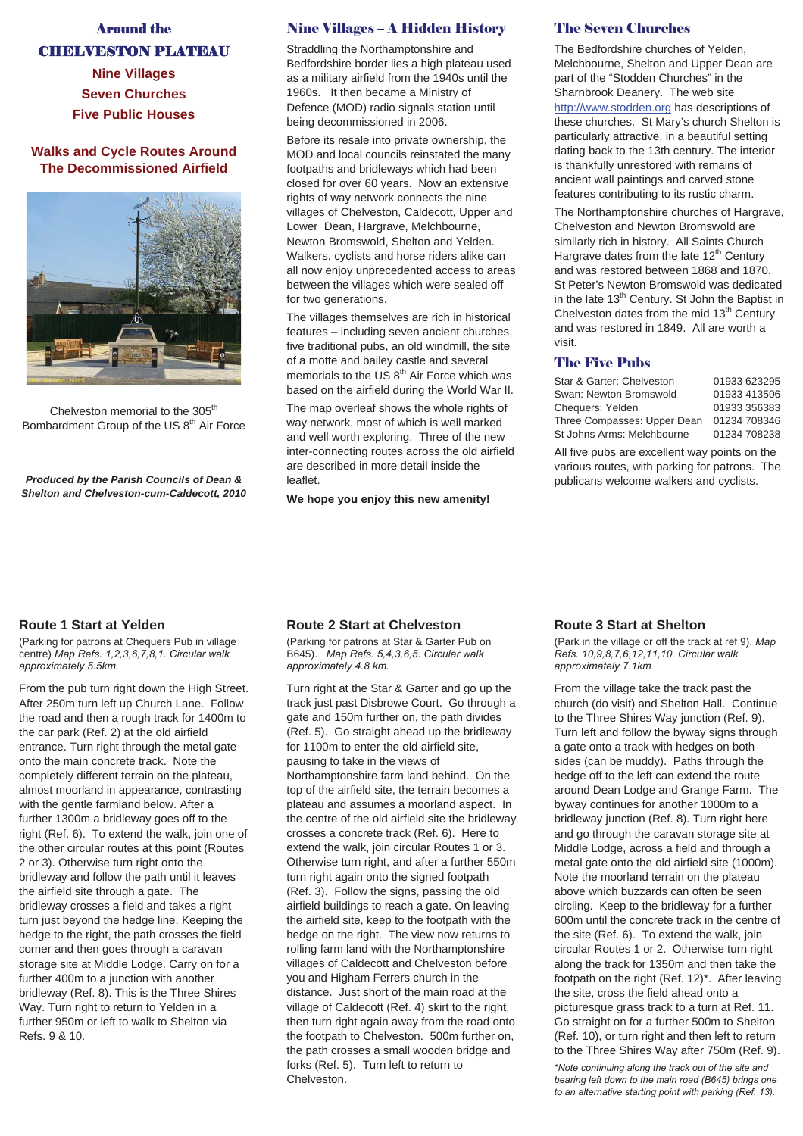# Around the CHELVESTON PLATEAU

**Nine Villages Seven Churches Five Public Houses** 

## **Walks and Cycle Routes Around The Decommissioned Airfield**



Chelveston memorial to the 305<sup>th</sup> Bombardment Group of the US 8<sup>th</sup> Air Force

*Produced by the Parish Councils of Dean & Shelton and Chelveston-cum-Caldecott, 2010* 

## Nine Villages – A Hidden History

Straddling the Northamptonshire and Bedfordshire border lies a high plateau used as a military airfield from the 1940s until the 1960s. It then became a Ministry of Defence (MOD) radio signals station until being decommissioned in 2006.

Before its resale into private ownership, the MOD and local councils reinstated the many footpaths and bridleways which had been closed for over 60 years. Now an extensive rights of way network connects the nine villages of Chelveston, Caldecott, Upper and Lower Dean, Hargrave, Melchbourne, Newton Bromswold, Shelton and Yelden. Walkers, cyclists and horse riders alike can all now enjoy unprecedented access to areas between the villages which were sealed off for two generations.

The villages themselves are rich in historical features – including seven ancient churches, five traditional pubs, an old windmill, the site of a motte and bailey castle and several memorials to the US  $8<sup>th</sup>$  Air Force which was based on the airfield during the World War II.

The map overleaf shows the whole rights of way network, most of which is well marked and well worth exploring. Three of the new inter-connecting routes across the old airfield are described in more detail inside the leaflet.

**We hope you enjoy this new amenity!**

#### The Seven Churches

The Bedfordshire churches of Yelden, Melchbourne, Shelton and Upper Dean are part of the "Stodden Churches" in the Sharnbrook Deanery. The web site http://www.stodden.org has descriptions of these churches. St Mary's church Shelton is particularly attractive, in a beautiful setting dating back to the 13th century. The interior is thankfully unrestored with remains of ancient wall paintings and carved stone features contributing to its rustic charm.

The Northamptonshire churches of Hargrave, Chelveston and Newton Bromswold are similarly rich in history. All Saints Church Hargrave dates from the late  $12<sup>th</sup>$  Century and was restored between 1868 and 1870. St Peter's Newton Bromswold was dedicated in the late  $13<sup>th</sup>$  Century. St John the Baptist in Chelveston dates from the mid 13<sup>th</sup> Century and was restored in 1849. All are worth a visit.

#### The Five Pubs

| Star & Garter: Chelveston   | 01933 623295 |
|-----------------------------|--------------|
| Swan: Newton Bromswold      | 01933 413506 |
| Cheauers: Yelden            | 01933 356383 |
| Three Compasses: Upper Dean | 01234 708346 |
| St Johns Arms: Melchbourne  | 01234 708238 |

All five pubs are excellent way points on the various routes, with parking for patrons. The publicans welcome walkers and cyclists.

# **Route 1 Start at Yelden**

(Parking for patrons at Chequers Pub in village centre) Map Refs. 1,2,3,6,7,8,1. Circular walk approximately 5.5km.

From the pub turn right down the High Street. After 250m turn left up Church Lane. Follow the road and then a rough track for 1400m to the car park (Ref. 2) at the old airfield entrance. Turn right through the metal gate onto the main concrete track. Note the completely different terrain on the plateau, almost moorland in appearance, contrasting with the gentle farmland below. After a further 1300m a bridleway goes off to the right (Ref. 6). To extend the walk, join one of the other circular routes at this point (Routes 2 or 3). Otherwise turn right onto the bridleway and follow the path until it leaves the airfield site through a gate. The bridleway crosses a field and takes a right turn just beyond the hedge line. Keeping the hedge to the right, the path crosses the field corner and then goes through a caravan storage site at Middle Lodge. Carry on for a further 400m to a junction with another bridleway (Ref. 8). This is the Three Shires Way. Turn right to return to Yelden in a further 950m or left to walk to Shelton via Refs. 9 & 10.

# **Route 2 Start at Chelveston**

(Parking for patrons at Star & Garter Pub on B645). Map Refs. 5,4,3,6,5. Circular walk approximately 4.8 km.

Turn right at the Star & Garter and go up the track just past Disbrowe Court. Go through a gate and 150m further on, the path divides (Ref. 5). Go straight ahead up the bridleway for 1100m to enter the old airfield site, pausing to take in the views of Northamptonshire farm land behind. On the top of the airfield site, the terrain becomes a plateau and assumes a moorland aspect. In the centre of the old airfield site the bridleway crosses a concrete track (Ref. 6). Here to extend the walk, join circular Routes 1 or 3. Otherwise turn right, and after a further 550m turn right again onto the signed footpath (Ref. 3). Follow the signs, passing the old airfield buildings to reach a gate. On leaving the airfield site, keep to the footpath with the hedge on the right. The view now returns to rolling farm land with the Northamptonshire villages of Caldecott and Chelveston before you and Higham Ferrers church in the distance. Just short of the main road at the village of Caldecott (Ref. 4) skirt to the right, then turn right again away from the road onto the footpath to Chelveston. 500m further on, the path crosses a small wooden bridge and forks (Ref. 5). Turn left to return to Chelveston.

#### **Route 3 Start at Shelton**

(Park in the village or off the track at ref 9). Map *Refs.* 10,9,8,7,6,12,11,10. Circular walk approximately 7.1km

From the village take the track past the church (do visit) and Shelton Hall. Continue to the Three Shires Way junction (Ref. 9). Turn left and follow the byway signs through a gate onto a track with hedges on both sides (can be muddy). Paths through the hedge off to the left can extend the route around Dean Lodge and Grange Farm. The byway continues for another 1000m to a bridleway junction (Ref. 8). Turn right here and go through the caravan storage site at Middle Lodge, across a field and through a metal gate onto the old airfield site (1000m). Note the moorland terrain on the plateau above which buzzards can often be seen circling. Keep to the bridleway for a further 600m until the concrete track in the centre of the site (Ref. 6). To extend the walk, join circular Routes 1 or 2. Otherwise turn right along the track for 1350m and then take the footpath on the right (Ref. 12)\*. After leaving the site, cross the field ahead onto a picturesque grass track to a turn at Ref. 11. Go straight on for a further 500m to Shelton (Ref. 10), or turn right and then left to return to the Three Shires Way after 750m (Ref. 9).

\*Note continuing along the track out of the site and *bearing left down to the main road (B645) brings one* to an alternative starting point with parking (Ref. 13).